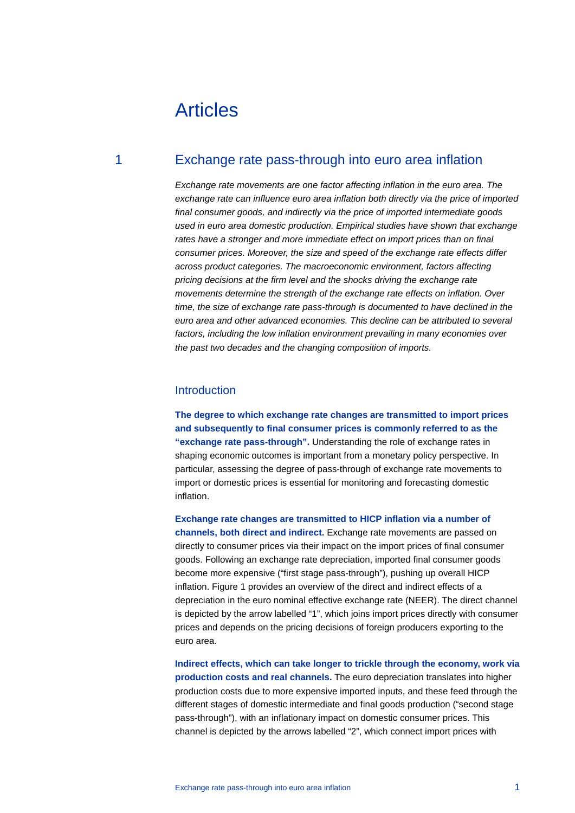# Articles

# 1 Exchange rate pass-through into euro area inflation

*Exchange rate movements are one factor affecting inflation in the euro area. The exchange rate can influence euro area inflation both directly via the price of imported final consumer goods, and indirectly via the price of imported intermediate goods used in euro area domestic production. Empirical studies have shown that exchange rates have a stronger and more immediate effect on import prices than on final consumer prices. Moreover, the size and speed of the exchange rate effects differ across product categories. The macroeconomic environment, factors affecting pricing decisions at the firm level and the shocks driving the exchange rate movements determine the strength of the exchange rate effects on inflation. Over time, the size of exchange rate pass-through is documented to have declined in the euro area and other advanced economies. This decline can be attributed to several factors, including the low inflation environment prevailing in many economies over the past two decades and the changing composition of imports.* 

### **Introduction**

**The degree to which exchange rate changes are transmitted to import prices and subsequently to final consumer prices is commonly referred to as the "exchange rate pass-through".** Understanding the role of exchange rates in shaping economic outcomes is important from a monetary policy perspective. In particular, assessing the degree of pass-through of exchange rate movements to import or domestic prices is essential for monitoring and forecasting domestic inflation.

**Exchange rate changes are transmitted to HICP inflation via a number of channels, both direct and indirect.** Exchange rate movements are passed on directly to consumer prices via their impact on the import prices of final consumer goods. Following an exchange rate depreciation, imported final consumer goods become more expensive ("first stage pass-through"), pushing up overall HICP inflation. Figure 1 provides an overview of the direct and indirect effects of a depreciation in the euro nominal effective exchange rate (NEER). The direct channel is depicted by the arrow labelled "1", which joins import prices directly with consumer prices and depends on the pricing decisions of foreign producers exporting to the euro area.

**Indirect effects, which can take longer to trickle through the economy, work via production costs and real channels.** The euro depreciation translates into higher production costs due to more expensive imported inputs, and these feed through the different stages of domestic intermediate and final goods production ("second stage pass-through"), with an inflationary impact on domestic consumer prices. This channel is depicted by the arrows labelled "2", which connect import prices with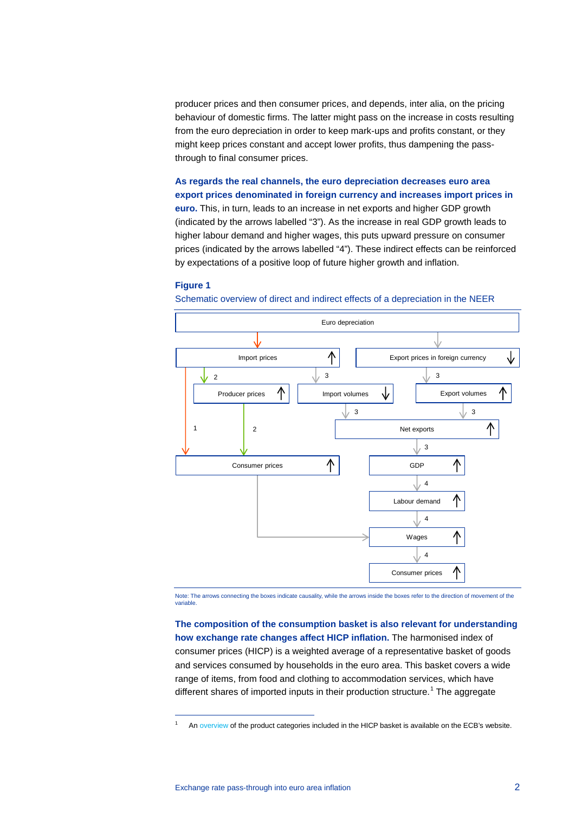producer prices and then consumer prices, and depends, inter alia, on the pricing behaviour of domestic firms. The latter might pass on the increase in costs resulting from the euro depreciation in order to keep mark-ups and profits constant, or they might keep prices constant and accept lower profits, thus dampening the passthrough to final consumer prices.

**As regards the real channels, the euro depreciation decreases euro area export prices denominated in foreign currency and increases import prices in euro.** This, in turn, leads to an increase in net exports and higher GDP growth (indicated by the arrows labelled "3"). As the increase in real GDP growth leads to higher labour demand and higher wages, this puts upward pressure on consumer prices (indicated by the arrows labelled "4"). These indirect effects can be reinforced by expectations of a positive loop of future higher growth and inflation.

#### **Figure 1**



Schematic overview of direct and indirect effects of a depreciation in the NEER

Note: The arrows connecting the boxes indicate causality, while the arrows inside the boxes refer to the direction of movement of the variable.

**The composition of the consumption basket is also relevant for understanding how exchange rate changes affect HICP inflation.** The harmonised index of consumer prices (HICP) is a weighted average of a representative basket of goods and services consumed by households in the euro area. This basket covers a wide range of items, from food and clothing to accommodation services, which have different shares of imported inputs in their production structure.<sup>[1](#page-1-0)</sup> The aggregate

<span id="page-1-0"></span>An overview of the product categories included in the HICP basket is available on the ECB's website.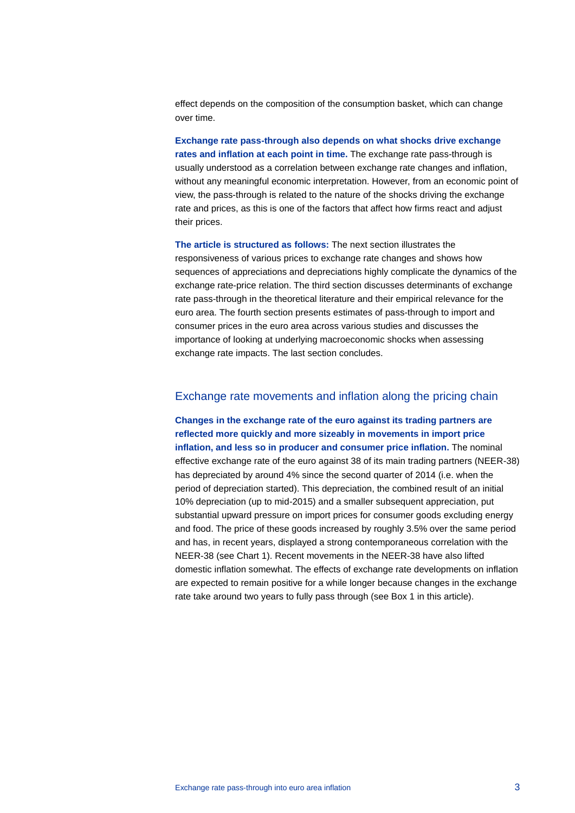effect depends on the composition of the consumption basket, which can change over time.

**Exchange rate pass-through also depends on what shocks drive exchange rates and inflation at each point in time.** The exchange rate pass-through is usually understood as a correlation between exchange rate changes and inflation, without any meaningful economic interpretation. However, from an economic point of view, the pass-through is related to the nature of the shocks driving the exchange rate and prices, as this is one of the factors that affect how firms react and adjust their prices.

**The article is structured as follows:** The next section illustrates the responsiveness of various prices to exchange rate changes and shows how sequences of appreciations and depreciations highly complicate the dynamics of the exchange rate-price relation. The third section discusses determinants of exchange rate pass-through in the theoretical literature and their empirical relevance for the euro area. The fourth section presents estimates of pass-through to import and consumer prices in the euro area across various studies and discusses the importance of looking at underlying macroeconomic shocks when assessing exchange rate impacts. The last section concludes.

# Exchange rate movements and inflation along the pricing chain

**Changes in the exchange rate of the euro against its trading partners are reflected more quickly and more sizeably in movements in import price inflation, and less so in producer and consumer price inflation.** The nominal effective exchange rate of the euro against 38 of its main trading partners (NEER-38) has depreciated by around 4% since the second quarter of 2014 (i.e. when the period of depreciation started). This depreciation, the combined result of an initial 10% depreciation (up to mid-2015) and a smaller subsequent appreciation, put substantial upward pressure on import prices for consumer goods excluding energy and food. The price of these goods increased by roughly 3.5% over the same period and has, in recent years, displayed a strong contemporaneous correlation with the NEER-38 (see Chart 1). Recent movements in the NEER-38 have also lifted domestic inflation somewhat. The effects of exchange rate developments on inflation are expected to remain positive for a while longer because changes in the exchange rate take around two years to fully pass through (see Box 1 in this article).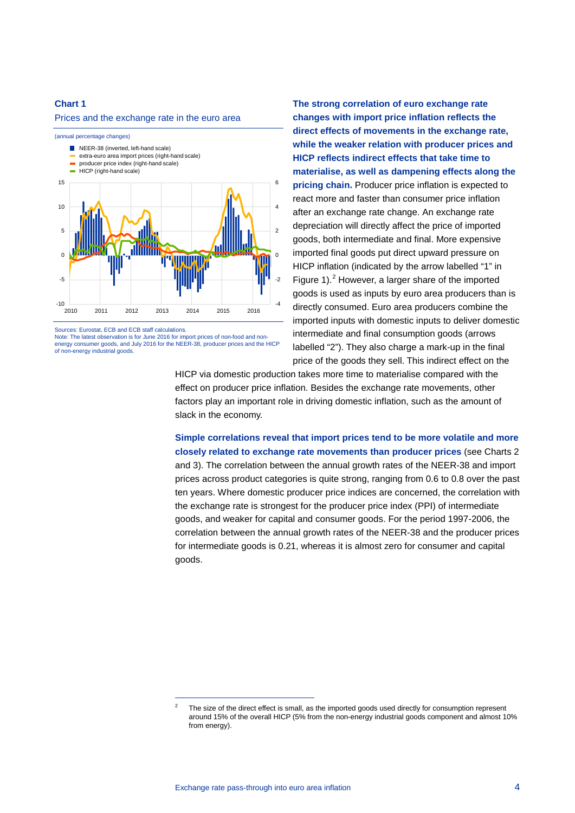#### **Chart 1**

Prices and the exchange rate in the euro area



Sources: Eurostat, ECB and ECB staff calculations.

Note: The latest observation is for June 2016 for import prices of non-food and nonenergy consumer goods, and July 2016 for the NEER-38, producer prices and the HICP of non-energy industrial goods.

-

**The strong correlation of euro exchange rate changes with import price inflation reflects the direct effects of movements in the exchange rate, while the weaker relation with producer prices and HICP reflects indirect effects that take time to materialise, as well as dampening effects along the pricing chain.** Producer price inflation is expected to react more and faster than consumer price inflation after an exchange rate change. An exchange rate depreciation will directly affect the price of imported goods, both intermediate and final. More expensive imported final goods put direct upward pressure on HICP inflation (indicated by the arrow labelled "1" in Figure 1). [2](#page-3-0) However, a larger share of the imported goods is used as inputs by euro area producers than is directly consumed. Euro area producers combine the imported inputs with domestic inputs to deliver domestic intermediate and final consumption goods (arrows labelled "2"). They also charge a mark-up in the final price of the goods they sell. This indirect effect on the

HICP via domestic production takes more time to materialise compared with the effect on producer price inflation. Besides the exchange rate movements, other factors play an important role in driving domestic inflation, such as the amount of slack in the economy.

**Simple correlations reveal that import prices tend to be more volatile and more closely related to exchange rate movements than producer prices** (see Charts 2 and 3). The correlation between the annual growth rates of the NEER-38 and import prices across product categories is quite strong, ranging from 0.6 to 0.8 over the past ten years. Where domestic producer price indices are concerned, the correlation with the exchange rate is strongest for the producer price index (PPI) of intermediate goods, and weaker for capital and consumer goods. For the period 1997-2006, the correlation between the annual growth rates of the NEER-38 and the producer prices for intermediate goods is 0.21, whereas it is almost zero for consumer and capital goods.

<span id="page-3-0"></span> $2^2$  The size of the direct effect is small, as the imported goods used directly for consumption represent around 15% of the overall HICP (5% from the non-energy industrial goods component and almost 10% from energy).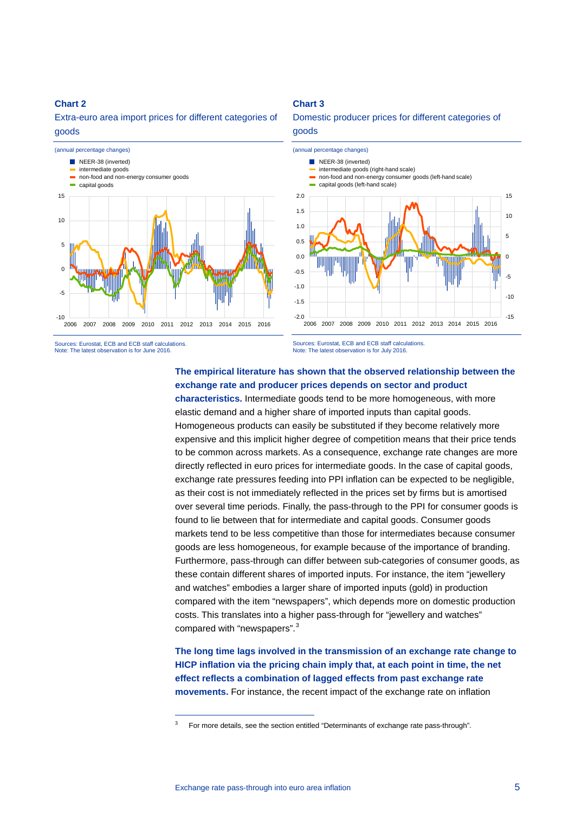# **Chart 2**

Extra-euro area import prices for different categories of goods



# **Chart 3**

Domestic producer prices for different categories of goods



Sources: Eurostat, ECB and ECB staff calculations. Note: The latest observation is for June 2016.

Sources: Eurostat, ECB and ECB staff calculations. Note: The latest observation is for July 2016.

# **The empirical literature has shown that the observed relationship between the exchange rate and producer prices depends on sector and product**

**characteristics.** Intermediate goods tend to be more homogeneous, with more elastic demand and a higher share of imported inputs than capital goods. Homogeneous products can easily be substituted if they become relatively more expensive and this implicit higher degree of competition means that their price tends to be common across markets. As a consequence, exchange rate changes are more directly reflected in euro prices for intermediate goods. In the case of capital goods, exchange rate pressures feeding into PPI inflation can be expected to be negligible, as their cost is not immediately reflected in the prices set by firms but is amortised over several time periods. Finally, the pass-through to the PPI for consumer goods is found to lie between that for intermediate and capital goods. Consumer goods markets tend to be less competitive than those for intermediates because consumer goods are less homogeneous, for example because of the importance of branding. Furthermore, pass-through can differ between sub-categories of consumer goods, as these contain different shares of imported inputs. For instance, the item "jewellery and watches" embodies a larger share of imported inputs (gold) in production compared with the item "newspapers", which depends more on domestic production costs. This translates into a higher pass-through for "jewellery and watches" compared with "newspapers".<sup>[3](#page-4-0)</sup>

**The long time lags involved in the transmission of an exchange rate change to HICP inflation via the pricing chain imply that, at each point in time, the net effect reflects a combination of lagged effects from past exchange rate movements.** For instance, the recent impact of the exchange rate on inflation

<span id="page-4-0"></span><sup>3</sup> For more details, see the section entitled "Determinants of exchange rate pass-through".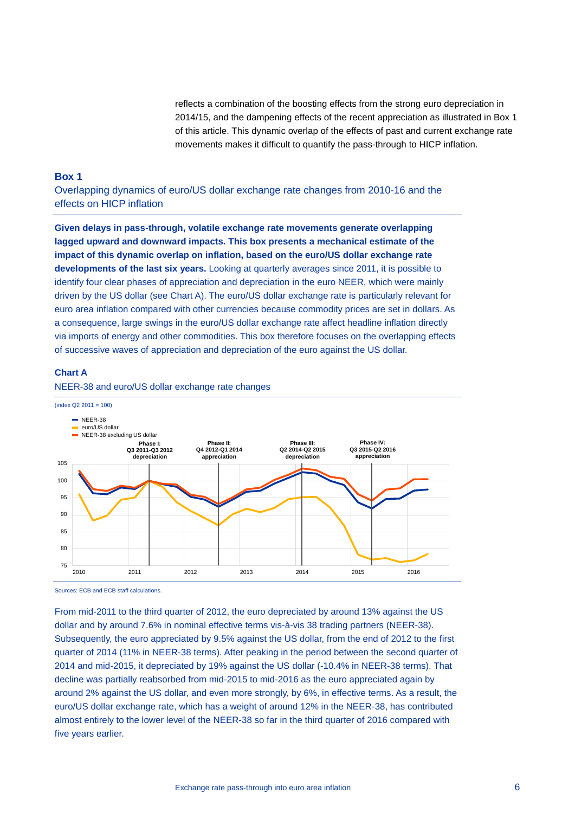reflects a combination of the boosting effects from the strong euro depreciation in 2014/15, and the dampening effects of the recent appreciation as illustrated in Box 1 of this article. This dynamic overlap of the effects of past and current exchange rate movements makes it difficult to quantify the pass-through to HICP inflation.

#### **Box 1**

Overlapping dynamics of euro/US dollar exchange rate changes from 2010-16 and the effects on HICP inflation

**Given delays in pass-through, volatile exchange rate movements generate overlapping lagged upward and downward impacts. This box presents a mechanical estimate of the impact of this dynamic overlap on inflation, based on the euro/US dollar exchange rate developments of the last six years.** Looking at quarterly averages since 2011, it is possible to identify four clear phases of appreciation and depreciation in the euro NEER, which were mainly driven by the US dollar (see Chart A). The euro/US dollar exchange rate is particularly relevant for euro area inflation compared with other currencies because commodity prices are set in dollars. As a consequence, large swings in the euro/US dollar exchange rate affect headline inflation directly via imports of energy and other commodities. This box therefore focuses on the overlapping effects of successive waves of appreciation and depreciation of the euro against the US dollar.

# **Chart A**



NEER-38 and euro/US dollar exchange rate changes

Sources: ECB and ECB staff calculations.

From mid-2011 to the third quarter of 2012, the euro depreciated by around 13% against the US dollar and by around 7.6% in nominal effective terms vis-à-vis 38 trading partners (NEER-38). Subsequently, the euro appreciated by 9.5% against the US dollar, from the end of 2012 to the first quarter of 2014 (11% in NEER-38 terms). After peaking in the period between the second quarter of 2014 and mid-2015, it depreciated by 19% against the US dollar (-10.4% in NEER-38 terms). That decline was partially reabsorbed from mid-2015 to mid-2016 as the euro appreciated again by around 2% against the US dollar, and even more strongly, by 6%, in effective terms. As a result, the euro/US dollar exchange rate, which has a weight of around 12% in the NEER-38, has contributed almost entirely to the lower level of the NEER-38 so far in the third quarter of 2016 compared with five years earlier.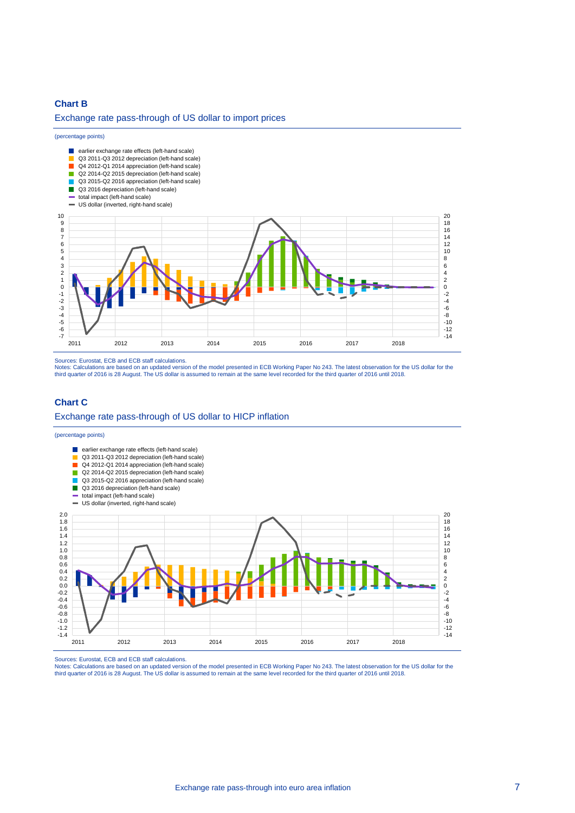### **Chart B**

#### Exchange rate pass-through of US dollar to import prices

#### (percentage points)



Sources: Eurostat, ECB and ECB staff calculations.

Notes: Calculations are based on an updated version of the model presented in ECB Working Paper No 243. The latest observation for the US dollar for the<br>third quarter of 2016 is 28 August. The US dollar is assumed to remai

# **Chart C** Exchange rate pass-through of US dollar to HICP inflation

#### (percentage points)



Sources: Eurostat, ECB and ECB staff calculations.

Notes: Calculations are based on an updated version of the model presented in ECB Working Paper No 243. The latest observation for the US dollar for the<br>third quarter of 2016 is 28 August. The US dollar is assumed to remai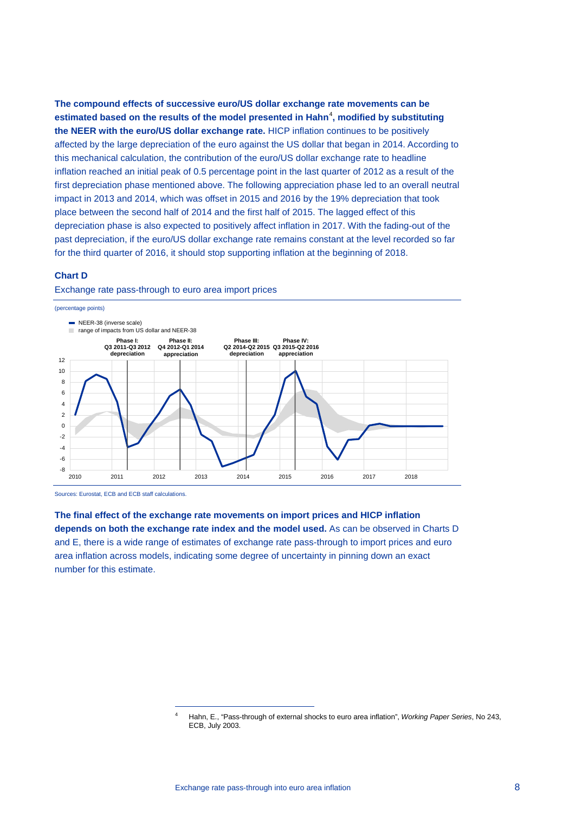**The compound effects of successive euro/US dollar exchange rate movements can be**  estimated based on the results of the model presented in Hahn<sup>[4](#page-7-0)</sup>, modified by substituting **the NEER with the euro/US dollar exchange rate.** HICP inflation continues to be positively affected by the large depreciation of the euro against the US dollar that began in 2014. According to this mechanical calculation, the contribution of the euro/US dollar exchange rate to headline inflation reached an initial peak of 0.5 percentage point in the last quarter of 2012 as a result of the first depreciation phase mentioned above. The following appreciation phase led to an overall neutral impact in 2013 and 2014, which was offset in 2015 and 2016 by the 19% depreciation that took place between the second half of 2014 and the first half of 2015. The lagged effect of this depreciation phase is also expected to positively affect inflation in 2017. With the fading-out of the past depreciation, if the euro/US dollar exchange rate remains constant at the level recorded so far for the third quarter of 2016, it should stop supporting inflation at the beginning of 2018.

#### **Chart D**

![](_page_7_Figure_2.jpeg)

Exchange rate pass-through to euro area import prices

<span id="page-7-0"></span>-

Sources: Eurostat, ECB and ECB staff calculations.

**The final effect of the exchange rate movements on import prices and HICP inflation depends on both the exchange rate index and the model used.** As can be observed in Charts D and E, there is a wide range of estimates of exchange rate pass-through to import prices and euro area inflation across models, indicating some degree of uncertainty in pinning down an exact number for this estimate.

<sup>4</sup> Hahn, E., "Pass-through of external shocks to euro area inflation", *Working Paper Series*, No 243, ECB, July 2003.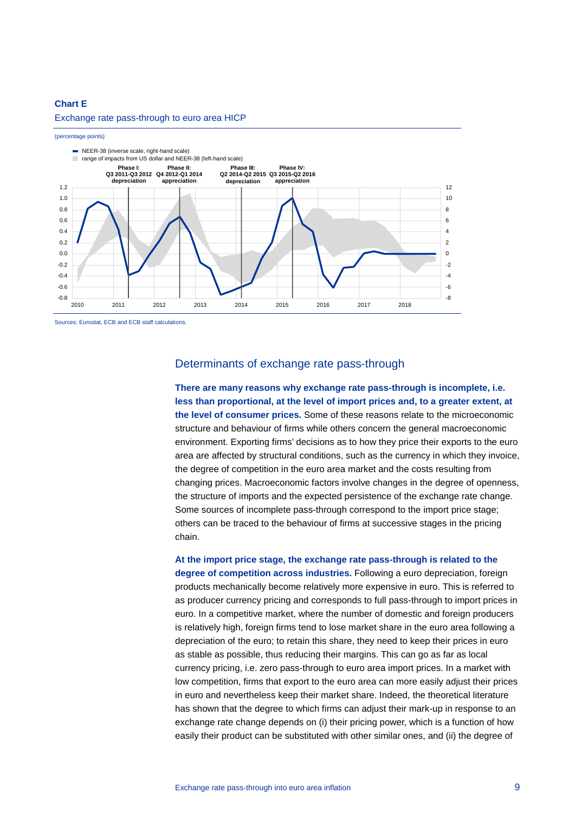#### **Chart E**

#### Exchange rate pass-through to euro area HICP

#### (percentage points)

![](_page_8_Figure_3.jpeg)

Sources: Eurostat, ECB and ECB staff calculations.

# Determinants of exchange rate pass-through

**There are many reasons why exchange rate pass-through is incomplete, i.e. less than proportional, at the level of import prices and, to a greater extent, at the level of consumer prices.** Some of these reasons relate to the microeconomic structure and behaviour of firms while others concern the general macroeconomic environment. Exporting firms' decisions as to how they price their exports to the euro area are affected by structural conditions, such as the currency in which they invoice, the degree of competition in the euro area market and the costs resulting from changing prices. Macroeconomic factors involve changes in the degree of openness, the structure of imports and the expected persistence of the exchange rate change. Some sources of incomplete pass-through correspond to the import price stage; others can be traced to the behaviour of firms at successive stages in the pricing chain.

**At the import price stage, the exchange rate pass-through is related to the degree of competition across industries.** Following a euro depreciation, foreign products mechanically become relatively more expensive in euro. This is referred to as producer currency pricing and corresponds to full pass-through to import prices in euro. In a competitive market, where the number of domestic and foreign producers is relatively high, foreign firms tend to lose market share in the euro area following a depreciation of the euro; to retain this share, they need to keep their prices in euro as stable as possible, thus reducing their margins. This can go as far as local currency pricing, i.e. zero pass-through to euro area import prices. In a market with low competition, firms that export to the euro area can more easily adjust their prices in euro and nevertheless keep their market share. Indeed, the theoretical literature has shown that the degree to which firms can adjust their mark-up in response to an exchange rate change depends on (i) their pricing power, which is a function of how easily their product can be substituted with other similar ones, and (ii) the degree of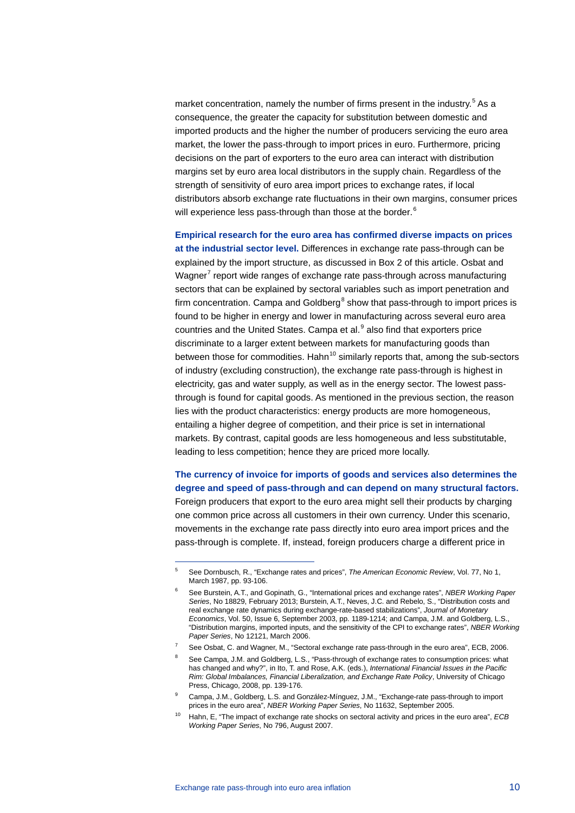market concentration, namely the number of firms present in the industry.<sup>[5](#page-9-0)</sup> As a consequence, the greater the capacity for substitution between domestic and imported products and the higher the number of producers servicing the euro area market, the lower the pass-through to import prices in euro. Furthermore, pricing decisions on the part of exporters to the euro area can interact with distribution margins set by euro area local distributors in the supply chain. Regardless of the strength of sensitivity of euro area import prices to exchange rates, if local distributors absorb exchange rate fluctuations in their own margins, consumer prices will experience less pass-through than those at the border. $^6$  $^6$ 

**Empirical research for the euro area has confirmed diverse impacts on prices at the industrial sector level.** Differences in exchange rate pass-through can be explained by the import structure, as discussed in Box 2 of this article. Osbat and Wagner<sup>[7](#page-9-2)</sup> report wide ranges of exchange rate pass-through across manufacturing sectors that can be explained by sectoral variables such as import penetration and firm concentration. Campa and Goldberg<sup>[8](#page-9-3)</sup> show that pass-through to import prices is found to be higher in energy and lower in manufacturing across several euro area countries and the United States. Campa et al.<sup>[9](#page-9-4)</sup> also find that exporters price discriminate to a larger extent between markets for manufacturing goods than between those for commodities. Hahn<sup>[10](#page-9-5)</sup> similarly reports that, among the sub-sectors of industry (excluding construction), the exchange rate pass-through is highest in electricity, gas and water supply, as well as in the energy sector. The lowest passthrough is found for capital goods. As mentioned in the previous section, the reason lies with the product characteristics: energy products are more homogeneous, entailing a higher degree of competition, and their price is set in international markets. By contrast, capital goods are less homogeneous and less substitutable, leading to less competition; hence they are priced more locally.

**The currency of invoice for imports of goods and services also determines the degree and speed of pass-through and can depend on many structural factors.**  Foreign producers that export to the euro area might sell their products by charging one common price across all customers in their own currency. Under this scenario, movements in the exchange rate pass directly into euro area import prices and the pass-through is complete. If, instead, foreign producers charge a different price in

<span id="page-9-0"></span><sup>5</sup> See Dornbusch, R., "Exchange rates and prices", *The American Economic Review*, Vol. 77, No 1, March 1987, pp. 93-106.

<span id="page-9-1"></span><sup>6</sup> See Burstein, A.T., and Gopinath, G., "International prices and exchange rates", *NBER Working Paper Series*, No 18829, February 2013; Burstein, A.T., Neves, J.C. and Rebelo, S., "Distribution costs and real exchange rate dynamics during exchange-rate-based stabilizations", *Journal of Monetary Economics*, Vol. 50, Issue 6, September 2003, pp. 1189-1214; and Campa, J.M. and Goldberg, L.S., "Distribution margins, imported inputs, and the sensitivity of the CPI to exchange rates", *NBER Working Paper Series*, No 12121, March 2006.

<span id="page-9-2"></span><sup>7</sup> See Osbat, C. and Wagner, M., "Sectoral exchange rate pass-through in the euro area", ECB, 2006.

<span id="page-9-3"></span>See Campa, J.M. and Goldberg, L.S., "Pass-through of exchange rates to consumption prices: what has changed and why?", in Ito, T. and Rose, A.K. (eds.), *International Financial Issues in the Pacific Rim: Global Imbalances, Financial Liberalization, and Exchange Rate Policy*, University of Chicago Press, Chicago, 2008, pp. 139-176.

<span id="page-9-4"></span><sup>&</sup>lt;sup>9</sup> Campa, J.M., Goldberg, L.S. and González-Mínguez, J.M., "Exchange-rate pass-through to import prices in the euro area", *NBER Working Paper Series*, No 11632, September 2005.

<span id="page-9-5"></span><sup>10</sup> Hahn, E, "The impact of exchange rate shocks on sectoral activity and prices in the euro area", *ECB Working Paper Series*, No 796, August 2007.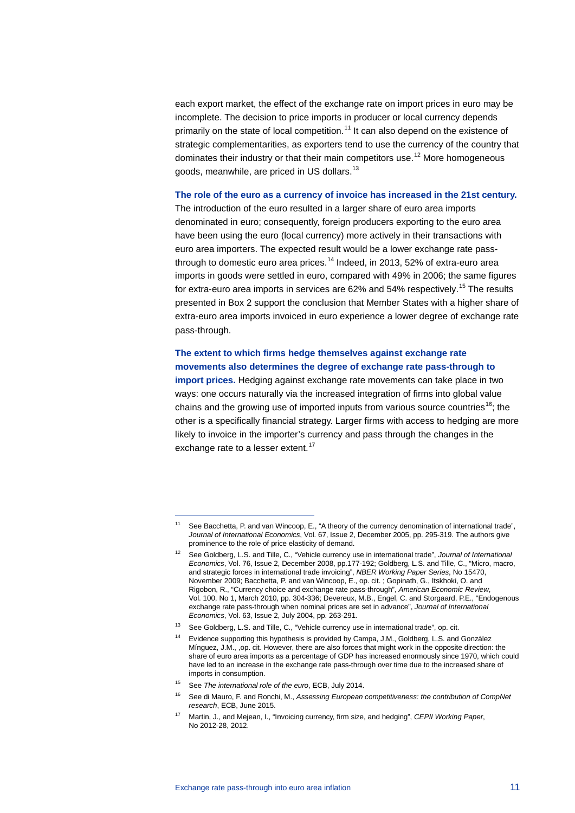each export market, the effect of the exchange rate on import prices in euro may be incomplete. The decision to price imports in producer or local currency depends primarily on the state of local competition.<sup>[11](#page-10-0)</sup> It can also depend on the existence of strategic complementarities, as exporters tend to use the currency of the country that dominates their industry or that their main competitors use.<sup>[12](#page-10-1)</sup> More homogeneous goods, meanwhile, are priced in US dollars.<sup>[13](#page-10-2)</sup>

### **The role of the euro as a currency of invoice has increased in the 21st century.**

The introduction of the euro resulted in a larger share of euro area imports denominated in euro; consequently, foreign producers exporting to the euro area have been using the euro (local currency) more actively in their transactions with euro area importers. The expected result would be a lower exchange rate pass-through to domestic euro area prices.<sup>[14](#page-10-3)</sup> Indeed, in 2013, 52% of extra-euro area imports in goods were settled in euro, compared with 49% in 2006; the same figures for extra-euro area imports in services are 62% and 54% respectively.<sup>[15](#page-10-4)</sup> The results presented in Box 2 support the conclusion that Member States with a higher share of extra-euro area imports invoiced in euro experience a lower degree of exchange rate pass-through.

**The extent to which firms hedge themselves against exchange rate movements also determines the degree of exchange rate pass-through to import prices.** Hedging against exchange rate movements can take place in two ways: one occurs naturally via the increased integration of firms into global value chains and the growing use of imported inputs from various source countries<sup>16</sup>; the other is a specifically financial strategy. Larger firms with access to hedging are more likely to invoice in the importer's currency and pass through the changes in the exchange rate to a lesser extent.<sup>[17](#page-10-6)</sup>

<span id="page-10-0"></span>See Bacchetta, P. and van Wincoop, E., "A theory of the currency denomination of international trade", *Journal of International Economics*, Vol. 67, Issue 2, December 2005, pp. 295-319. The authors give prominence to the role of price elasticity of demand.

<span id="page-10-1"></span><sup>12</sup> See Goldberg, L.S. and Tille, C., "Vehicle currency use in international trade", *Journal of International Economics*, Vol. 76, Issue 2, December 2008, pp.177-192; Goldberg, L.S. and Tille, C., "Micro, macro, and strategic forces in international trade invoicing", *NBER Working Paper Series*, No 15470, November 2009; Bacchetta, P. and van Wincoop, E., op. cit. ; Gopinath, G., Itskhoki, O. and Rigobon, R., "Currency choice and exchange rate pass-through", *American Economic Review*, Vol. 100, No 1, March 2010, pp. 304-336; Devereux, M.B., Engel, C. and Storgaard, P.E., "Endogenous exchange rate pass-through when nominal prices are set in advance", *Journal of International Economics*, Vol. 63, Issue 2, July 2004, pp. 263-291.

<span id="page-10-3"></span><span id="page-10-2"></span><sup>&</sup>lt;sup>13</sup> See Goldberg, L.S. and Tille, C., "Vehicle currency use in international trade", op. cit.

<sup>14</sup> Evidence supporting this hypothesis is provided by Campa, J.M., Goldberg, L.S. and González Mínguez, J.M., ,op. cit. However, there are also forces that might work in the opposite direction: the share of euro area imports as a percentage of GDP has increased enormously since 1970, which could have led to an increase in the exchange rate pass-through over time due to the increased share of imports in consumption.

<span id="page-10-4"></span><sup>15</sup> See *The international role of the euro*, ECB, July 2014.

<span id="page-10-5"></span><sup>16</sup> See di Mauro, F. and Ronchi, M., *Assessing European competitiveness: the contribution of CompNet research*, ECB, June 2015.

<span id="page-10-6"></span><sup>17</sup> Martin, J., and Mejean, I., "Invoicing currency, firm size, and hedging", *CEPII Working Paper*, No 2012-28, 2012.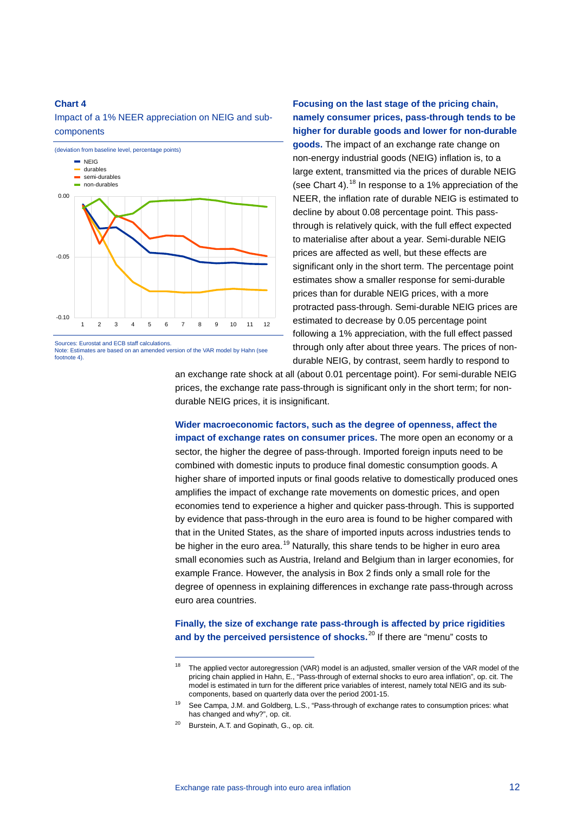#### **Chart 4**

Impact of a 1% NEER appreciation on NEIG and subcomponents

![](_page_11_Figure_2.jpeg)

Note: Estimates are based on an amended version of the VAR model by Hahn (see footnote 4).

-

**Focusing on the last stage of the pricing chain, namely consumer prices, pass-through tends to be higher for durable goods and lower for non-durable goods.** The impact of an exchange rate change on non-energy industrial goods (NEIG) inflation is, to a large extent, transmitted via the prices of durable NEIG (see Chart 4).<sup>[18](#page-11-0)</sup> In response to a 1% appreciation of the NEER, the inflation rate of durable NEIG is estimated to decline by about 0.08 percentage point. This passthrough is relatively quick, with the full effect expected to materialise after about a year. Semi-durable NEIG prices are affected as well, but these effects are significant only in the short term. The percentage point estimates show a smaller response for semi-durable prices than for durable NEIG prices, with a more protracted pass-through. Semi-durable NEIG prices are estimated to decrease by 0.05 percentage point following a 1% appreciation, with the full effect passed through only after about three years. The prices of nondurable NEIG, by contrast, seem hardly to respond to

an exchange rate shock at all (about 0.01 percentage point). For semi-durable NEIG prices, the exchange rate pass-through is significant only in the short term; for nondurable NEIG prices, it is insignificant.

**Wider macroeconomic factors, such as the degree of openness, affect the impact of exchange rates on consumer prices.** The more open an economy or a sector, the higher the degree of pass-through. Imported foreign inputs need to be combined with domestic inputs to produce final domestic consumption goods. A higher share of imported inputs or final goods relative to domestically produced ones amplifies the impact of exchange rate movements on domestic prices, and open economies tend to experience a higher and quicker pass-through. This is supported by evidence that pass-through in the euro area is found to be higher compared with that in the United States, as the share of imported inputs across industries tends to be higher in the euro area.<sup>[19](#page-11-1)</sup> Naturally, this share tends to be higher in euro area small economies such as Austria, Ireland and Belgium than in larger economies, for example France. However, the analysis in Box 2 finds only a small role for the degree of openness in explaining differences in exchange rate pass-through across euro area countries.

**Finally, the size of exchange rate pass-through is affected by price rigidities and by the perceived persistence of shocks.** [20](#page-11-2) If there are "menu" costs to

<span id="page-11-0"></span><sup>&</sup>lt;sup>18</sup> The applied vector autoregression (VAR) model is an adjusted, smaller version of the VAR model of the pricing chain applied in Hahn, E., "Pass-through of external shocks to euro area inflation", op. cit. The model is estimated in turn for the different price variables of interest, namely total NEIG and its subcomponents, based on quarterly data over the period 2001-15.

<span id="page-11-1"></span><sup>19</sup> See Campa, J.M. and Goldberg, L.S., "Pass-through of exchange rates to consumption prices: what has changed and why?", op. cit.

<span id="page-11-2"></span><sup>&</sup>lt;sup>20</sup> Burstein, A.T. and Gopinath, G., op. cit.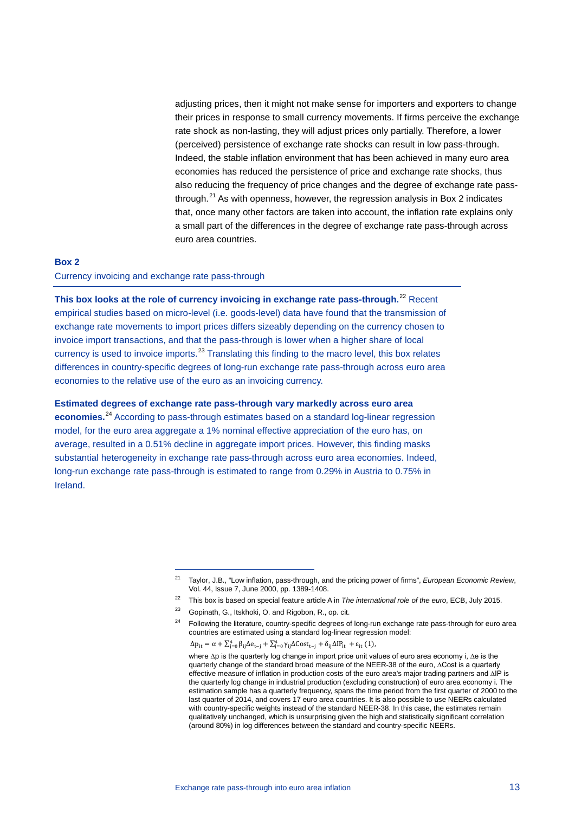adjusting prices, then it might not make sense for importers and exporters to change their prices in response to small currency movements. If firms perceive the exchange rate shock as non-lasting, they will adjust prices only partially. Therefore, a lower (perceived) persistence of exchange rate shocks can result in low pass-through. Indeed, the stable inflation environment that has been achieved in many euro area economies has reduced the persistence of price and exchange rate shocks, thus also reducing the frequency of price changes and the degree of exchange rate passthrough. $21$  As with openness, however, the regression analysis in Box 2 indicates that, once many other factors are taken into account, the inflation rate explains only a small part of the differences in the degree of exchange rate pass-through across euro area countries.

# **Box 2** Currency invoicing and exchange rate pass-through

-

**This box looks at the role of currency invoicing in exchange rate pass-through.**[22](#page-12-1) Recent empirical studies based on micro-level (i.e. goods-level) data have found that the transmission of exchange rate movements to import prices differs sizeably depending on the currency chosen to invoice import transactions, and that the pass-through is lower when a higher share of local currency is used to invoice imports.<sup>[23](#page-12-2)</sup> Translating this finding to the macro level, this box relates differences in country-specific degrees of long-run exchange rate pass-through across euro area economies to the relative use of the euro as an invoicing currency.

### **Estimated degrees of exchange rate pass-through vary markedly across euro area**

<span id="page-12-0"></span>**economies.**[24](#page-12-3) According to pass-through estimates based on a standard log-linear regression model, for the euro area aggregate a 1% nominal effective appreciation of the euro has, on average, resulted in a 0.51% decline in aggregate import prices. However, this finding masks substantial heterogeneity in exchange rate pass-through across euro area economies. Indeed, long-run exchange rate pass-through is estimated to range from 0.29% in Austria to 0.75% in Ireland.

<sup>21</sup> Taylor, J.B., "Low inflation, pass-through, and the pricing power of firms", *European Economic Review*, Vol. 44, Issue 7, June 2000, pp. 1389-1408.

<span id="page-12-2"></span><span id="page-12-1"></span><sup>22</sup> This box is based on special feature article A in *The international role of the euro*, ECB, July 2015.

<span id="page-12-3"></span><sup>23</sup> Gopinath, G., Itskhoki, O. and Rigobon, R., op. cit.

<sup>24</sup> Following the literature, country-specific degrees of long-run exchange rate pass-through for euro area countries are estimated using a standard log-linear regression model:

 $\Delta p_{it} = \alpha + \sum_{j=0}^{4} \beta_{ij} \Delta e_{t-j} + \sum_{j=0}^{4} \gamma_{ij} \Delta Cost_{t-j} + \delta_{ij} \Delta IP_{it} + \varepsilon_{it} (1),$ where ∆p is the quarterly log change in import price unit values of euro area economy i, ∆e is the quarterly change of the standard broad measure of the NEER-38 of the euro, ∆Cost is a quarterly effective measure of inflation in production costs of the euro area's major trading partners and ∆IP is the quarterly log change in industrial production (excluding construction) of euro area economy i. The estimation sample has a quarterly frequency, spans the time period from the first quarter of 2000 to the last quarter of 2014, and covers 17 euro area countries. It is also possible to use NEERs calculated with country-specific weights instead of the standard NEER-38. In this case, the estimates remain qualitatively unchanged, which is unsurprising given the high and statistically significant correlation (around 80%) in log differences between the standard and country-specific NEERs.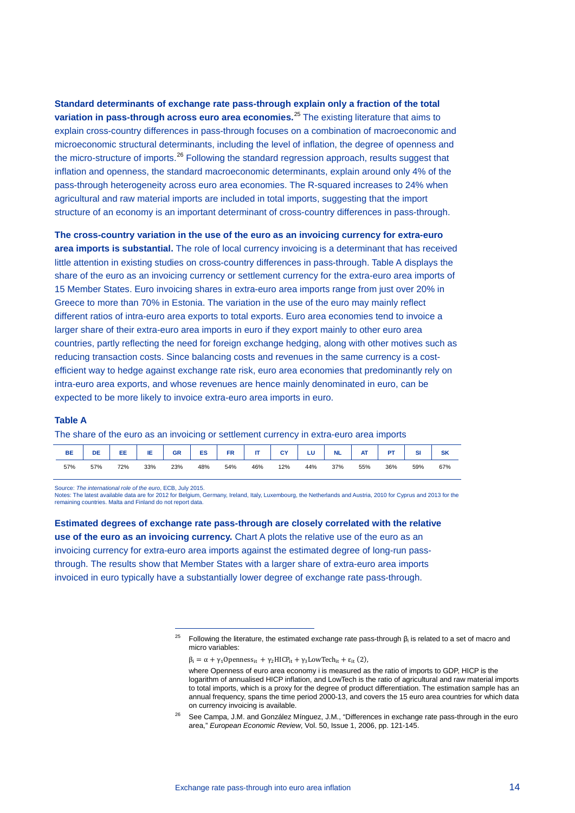**Standard determinants of exchange rate pass-through explain only a fraction of the total variation in pass-through across euro area economies.**[25](#page-13-0) The existing literature that aims to explain cross-country differences in pass-through focuses on a combination of macroeconomic and microeconomic structural determinants, including the level of inflation, the degree of openness and the micro-structure of imports.<sup>[26](#page-13-1)</sup> Following the standard regression approach, results suggest that inflation and openness, the standard macroeconomic determinants, explain around only 4% of the pass-through heterogeneity across euro area economies. The R-squared increases to 24% when agricultural and raw material imports are included in total imports, suggesting that the import structure of an economy is an important determinant of cross-country differences in pass-through.

**The cross-country variation in the use of the euro as an invoicing currency for extra-euro area imports is substantial.** The role of local currency invoicing is a determinant that has received little attention in existing studies on cross-country differences in pass-through. Table A displays the share of the euro as an invoicing currency or settlement currency for the extra-euro area imports of 15 Member States. Euro invoicing shares in extra-euro area imports range from just over 20% in Greece to more than 70% in Estonia. The variation in the use of the euro may mainly reflect different ratios of intra-euro area exports to total exports. Euro area economies tend to invoice a larger share of their extra-euro area imports in euro if they export mainly to other euro area countries, partly reflecting the need for foreign exchange hedging, along with other motives such as reducing transaction costs. Since balancing costs and revenues in the same currency is a costefficient way to hedge against exchange rate risk, euro area economies that predominantly rely on intra-euro area exports, and whose revenues are hence mainly denominated in euro, can be expected to be more likely to invoice extra-euro area imports in euro.

#### **Table A**

The share of the euro as an invoicing or settlement currency in extra-euro area imports

| <b>BE</b> | DE  | EE  | ΙE  | <b>GR</b> | ES  | <b>FR</b> | œ   | СY  | LU  | <b>NL</b> | <b>AT</b><br>mι | <b>D7</b> |     | <b>SK</b> |
|-----------|-----|-----|-----|-----------|-----|-----------|-----|-----|-----|-----------|-----------------|-----------|-----|-----------|
| 57%       | 57% | 72% | 33% | 23%       | 48% | 54%       | 46% | 12% | 44% | 37%       | 55%             | 36%       | 59% | 67%       |

Source: *The international role of the euro*, ECB, July 2015.

-

Notes: The latest available data are for 2012 for Belgium, Germany, Ireland, Italy, Luxembourg, the Netherlands and Austria, 2010 for Cyprus and 2013 for the remaining countries. Malta and Finland do not report data.

<span id="page-13-0"></span>**Estimated degrees of exchange rate pass-through are closely correlated with the relative use of the euro as an invoicing currency.** Chart A plots the relative use of the euro as an invoicing currency for extra-euro area imports against the estimated degree of long-run passthrough. The results show that Member States with a larger share of extra-euro area imports invoiced in euro typically have a substantially lower degree of exchange rate pass-through.

 $\beta_i = \alpha + \gamma_1$ Openness<sub>it</sub> +  $\gamma_2$ HICP<sub>it</sub> +  $\gamma_3$ LowTech<sub>it</sub> +  $\varepsilon_{it}$  (2),

<sup>&</sup>lt;sup>25</sup> Following the literature, the estimated exchange rate pass-through  $β<sub>i</sub>$  is related to a set of macro and micro variables:

where Openness of euro area economy i is measured as the ratio of imports to GDP, HICP is the logarithm of annualised HICP inflation, and LowTech is the ratio of agricultural and raw material imports to total imports, which is a proxy for the degree of product differentiation. The estimation sample has an annual frequency, spans the time period 2000-13, and covers the 15 euro area countries for which data on currency invoicing is available.

<span id="page-13-1"></span><sup>&</sup>lt;sup>26</sup> See Campa, J.M. and González Mínguez, J.M., "Differences in exchange rate pass-through in the euro area," *European Economic Review*, Vol. 50, Issue 1, 2006, pp. 121-145.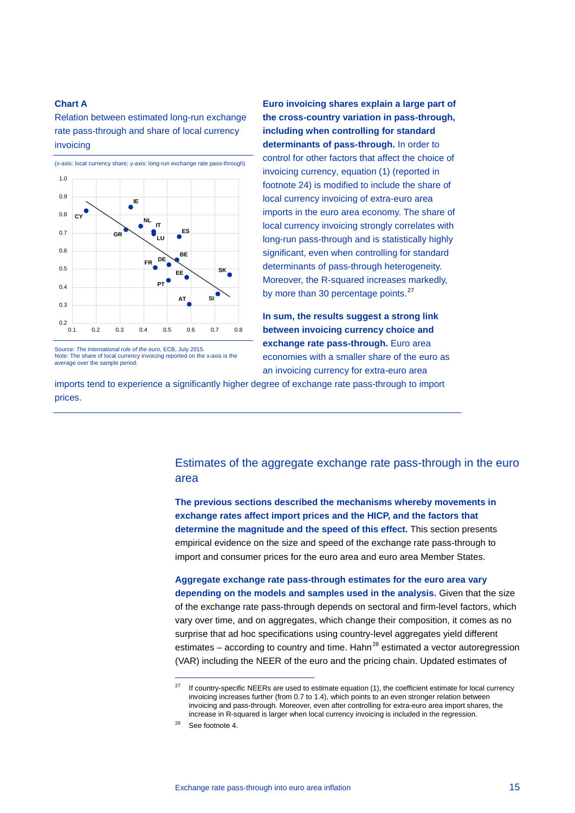### **Chart A**

Relation between estimated long-run exchange rate pass-through and share of local currency invoicing

![](_page_14_Figure_2.jpeg)

Source: *The international role of the euro*, ECB, July 2015. Note: The share of local currency invoicing reported on the x-axis is the average over the sample period.

**Euro invoicing shares explain a large part of the cross-country variation in pass-through, including when controlling for standard determinants of pass-through.** In order to control for other factors that affect the choice of invoicing currency, equation (1) (reported in footnote 24) is modified to include the share of local currency invoicing of extra-euro area imports in the euro area economy. The share of local currency invoicing strongly correlates with long-run pass-through and is statistically highly significant, even when controlling for standard determinants of pass-through heterogeneity. Moreover, the R-squared increases markedly, by more than 30 percentage points.<sup>[27](#page-14-0)</sup>

**In sum, the results suggest a strong link between invoicing currency choice and exchange rate pass-through.** Euro area economies with a smaller share of the euro as an invoicing currency for extra-euro area

imports tend to experience a significantly higher degree of exchange rate pass-through to import prices.

# Estimates of the aggregate exchange rate pass-through in the euro area

**The previous sections described the mechanisms whereby movements in exchange rates affect import prices and the HICP, and the factors that determine the magnitude and the speed of this effect.** This section presents empirical evidence on the size and speed of the exchange rate pass-through to import and consumer prices for the euro area and euro area Member States.

**Aggregate exchange rate pass-through estimates for the euro area vary depending on the models and samples used in the analysis.** Given that the size of the exchange rate pass-through depends on sectoral and firm-level factors, which vary over time, and on aggregates, which change their composition, it comes as no surprise that ad hoc specifications using country-level aggregates yield different estimates – according to country and time. Hahn<sup>[28](#page-14-1)</sup> estimated a vector autoregression (VAR) including the NEER of the euro and the pricing chain. Updated estimates of

<span id="page-14-0"></span> $27$  If country-specific NEERs are used to estimate equation (1), the coefficient estimate for local currency invoicing increases further (from 0.7 to 1.4), which points to an even stronger relation between invoicing and pass-through. Moreover, even after controlling for extra-euro area import shares, the increase in R-squared is larger when local currency invoicing is included in the regression.

<span id="page-14-1"></span><sup>28</sup> See footnote 4.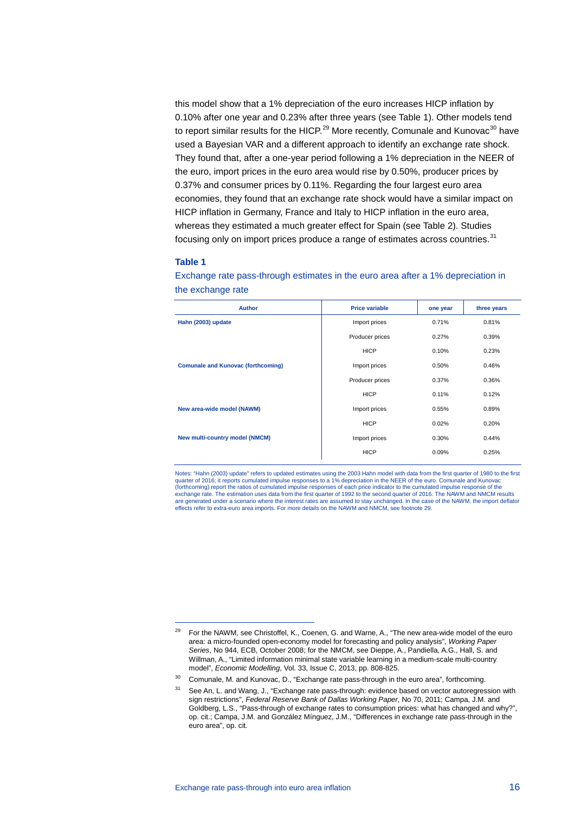this model show that a 1% depreciation of the euro increases HICP inflation by 0.10% after one year and 0.23% after three years (see Table 1). Other models tend to report similar results for the HICP.<sup>[29](#page-15-0)</sup> More recently, Comunale and Kunovac<sup>[30](#page-15-1)</sup> have used a Bayesian VAR and a different approach to identify an exchange rate shock. They found that, after a one-year period following a 1% depreciation in the NEER of the euro, import prices in the euro area would rise by 0.50%, producer prices by 0.37% and consumer prices by 0.11%. Regarding the four largest euro area economies, they found that an exchange rate shock would have a similar impact on HICP inflation in Germany, France and Italy to HICP inflation in the euro area, whereas they estimated a much greater effect for Spain (see Table 2). Studies focusing only on import prices produce a range of estimates across countries. $31$ 

#### **Table 1**

-

Exchange rate pass-through estimates in the euro area after a 1% depreciation in the exchange rate

| <b>Author</b>                             | <b>Price variable</b> | one year | three years |  |
|-------------------------------------------|-----------------------|----------|-------------|--|
| Hahn (2003) update                        | Import prices         | 0.71%    | 0.81%       |  |
|                                           | Producer prices       | 0.27%    | 0.39%       |  |
|                                           | <b>HICP</b>           | 0.10%    | 0.23%       |  |
| <b>Comunale and Kunovac (forthcoming)</b> | Import prices         | 0.50%    | 0.46%       |  |
|                                           | Producer prices       | 0.37%    | 0.36%       |  |
|                                           | <b>HICP</b>           | 0.11%    | 0.12%       |  |
| New area-wide model (NAWM)                | Import prices         | 0.55%    | 0.89%       |  |
|                                           | <b>HICP</b>           | 0.02%    | 0.20%       |  |
| New multi-country model (NMCM)            | Import prices         | 0.30%    | 0.44%       |  |
|                                           | <b>HICP</b>           | 0.09%    | 0.25%       |  |

Notes: "Hahn (2003) update" refers to updated estimates using the 2003 Hahn model with data from the first quarter of 1980 to the first quarter of 2016; it reports cumulated impulse responses to a 1% depreciation in the NEER of the euro. Comunale and Kunovac (forthcoming) report the ratios of cumulated impulse responses of each price indicator to the cumulated impulse response of the exchange rate. The estimation uses data from the first quarter of 1992 to the second quarter of 2016. The NAWM and NMCM results<br>are generated under a scenario where the interest rates are assumed to stay unchanged. In the effects refer to extra-euro area imports. For more details on the NAWM and NMCM, see footnote 29.

<span id="page-15-0"></span><sup>&</sup>lt;sup>29</sup> For the NAWM, see Christoffel, K., Coenen, G. and Warne, A., "The new area-wide model of the euro area: a micro-founded open-economy model for forecasting and policy analysis", *Working Paper Series*, No 944, ECB, October 2008; for the NMCM, see Dieppe, A., Pandiella, A.G., Hall, S. and Willman, A., "Limited information minimal state variable learning in a medium-scale multi-country model", *Economic Modelling*, Vol. 33, Issue C, 2013, pp. 808-825.

<span id="page-15-2"></span><span id="page-15-1"></span><sup>&</sup>lt;sup>30</sup> Comunale, M. and Kunovac, D., "Exchange rate pass-through in the euro area", forthcoming.

<sup>&</sup>lt;sup>31</sup> See An, L. and Wang, J., "Exchange rate pass-through: evidence based on vector autoregression with sign restrictions", *Federal Reserve Bank of Dallas Working Paper*, No 70, 2011; Campa, J.M. and Goldberg, L.S., "Pass-through of exchange rates to consumption prices: what has changed and why?", op. cit.; Campa, J.M. and González Mínguez, J.M., "Differences in exchange rate pass-through in the euro area", op. cit.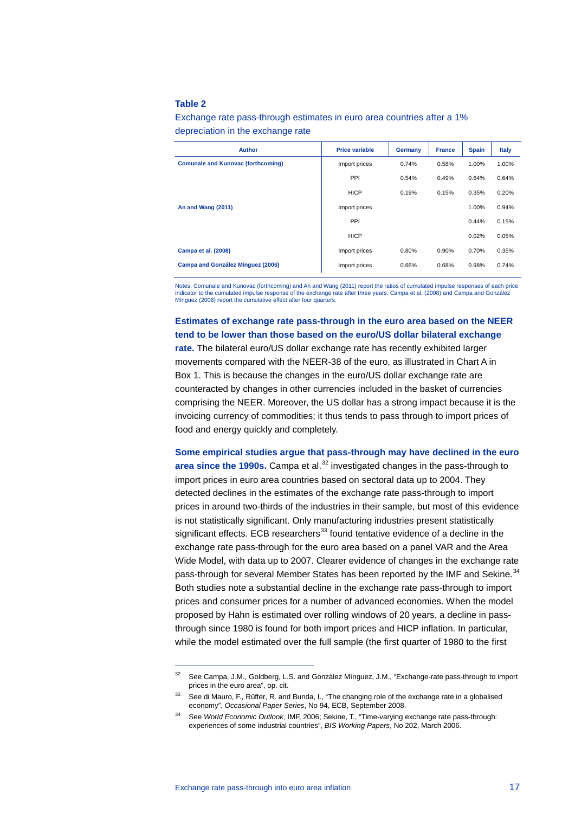#### **Table 2**

Exchange rate pass-through estimates in euro area countries after a 1% depreciation in the exchange rate

| <b>Author</b>                             | <b>Price variable</b> | Germany | <b>France</b> | <b>Spain</b> | <b>Italy</b> |
|-------------------------------------------|-----------------------|---------|---------------|--------------|--------------|
| <b>Comunale and Kunovac (forthcoming)</b> | Import prices         | 0.74%   | 0.58%         | 1.00%        | 1.00%        |
|                                           | PPI                   | 0.54%   | 0.49%         | 0.64%        | 0.64%        |
|                                           | <b>HICP</b>           | 0.19%   | 0.15%         | 0.35%        | 0.20%        |
| An and Wang (2011)                        | Import prices         |         |               | 1.00%        | 0.94%        |
|                                           | PPI                   |         |               | 0.44%        | 0.15%        |
|                                           | <b>HICP</b>           |         |               | 0.02%        | 0.05%        |
| Campa et al. (2008)                       | Import prices         | 0.80%   | 0.90%         | 0.70%        | 0.35%        |
| Campa and González Mínguez (2006)         | Import prices         | 0.66%   | 0.68%         | 0.98%        | 0.74%        |

Notes: Comunale and Kunovac (forthcoming) and An and Wang (2011) report the ratios of cumulated impulse responses of each price indicator to the cumulated impulse response of the exchange rate after three years. Campa et al. (2008) and Campa and González Mínguez (2006) report the cumulative effect after four quarters.

**Estimates of exchange rate pass-through in the euro area based on the NEER tend to be lower than those based on the euro/US dollar bilateral exchange rate.** The bilateral euro/US dollar exchange rate has recently exhibited larger movements compared with the NEER-38 of the euro, as illustrated in Chart A in Box 1. This is because the changes in the euro/US dollar exchange rate are counteracted by changes in other currencies included in the basket of currencies comprising the NEER. Moreover, the US dollar has a strong impact because it is the invoicing currency of commodities; it thus tends to pass through to import prices of food and energy quickly and completely.

**Some empirical studies argue that pass-through may have declined in the euro area since the 1990s.** Campa et al.<sup>[32](#page-16-0)</sup> investigated changes in the pass-through to import prices in euro area countries based on sectoral data up to 2004. They detected declines in the estimates of the exchange rate pass-through to import prices in around two-thirds of the industries in their sample, but most of this evidence is not statistically significant. Only manufacturing industries present statistically significant effects. ECB researchers $^{33}$  $^{33}$  $^{33}$  found tentative evidence of a decline in the exchange rate pass-through for the euro area based on a panel VAR and the Area Wide Model, with data up to 2007. Clearer evidence of changes in the exchange rate pass-through for several Member States has been reported by the IMF and Sekine.<sup>[34](#page-16-2)</sup> Both studies note a substantial decline in the exchange rate pass-through to import prices and consumer prices for a number of advanced economies. When the model proposed by Hahn is estimated over rolling windows of 20 years, a decline in passthrough since 1980 is found for both import prices and HICP inflation. In particular, while the model estimated over the full sample (the first quarter of 1980 to the first

<span id="page-16-0"></span><sup>32</sup> See Campa, J.M., Goldberg, L.S. and González Mínguez, J.M., "Exchange-rate pass-through to import prices in the euro area", op. cit.

<span id="page-16-1"></span><sup>&</sup>lt;sup>33</sup> See di Mauro, F., Rüffer, R. and Bunda, I., "The changing role of the exchange rate in a globalised economy", *Occasional Paper Series*, No 94, ECB, September 2008.

<span id="page-16-2"></span><sup>34</sup> See *World Economic Outlook*, IMF, 2006; Sekine, T., "Time-varying exchange rate pass-through: experiences of some industrial countries", *BIS Working Papers*, No 202, March 2006.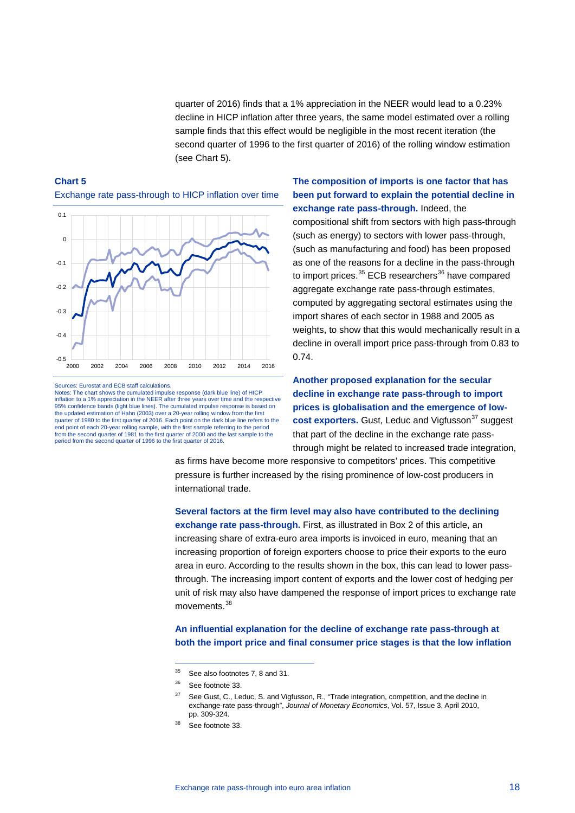quarter of 2016) finds that a 1% appreciation in the NEER would lead to a 0.23% decline in HICP inflation after three years, the same model estimated over a rolling sample finds that this effect would be negligible in the most recent iteration (the second quarter of 1996 to the first quarter of 2016) of the rolling window estimation (see Chart 5).

# **Chart 5**

Exchange rate pass-through to HICP inflation over time

![](_page_17_Figure_3.jpeg)

Sources: Eurostat and ECB staff calculations.

Notes: The chart shows the cumulated impulse response (dark blue line) of HICP inflation to a 1% appreciation in the NEER after three years over time and the respective 95% confidence bands (light blue lines). The cumulated impulse response is based on the updated estimation of Hahn (2003) over a 20-year rolling window from the first quarter of 1980 to the first quarter of 2016. Each point on the dark blue line refers to the end point of each 20-year rolling sample, with the first sample referring to the period from the second quarter of 1981 to the first quarter of 2000 and the last sample to the period from the second quarter of 1996 to the first quarter of 2016.

**The composition of imports is one factor that has been put forward to explain the potential decline in exchange rate pass-through.** Indeed, the compositional shift from sectors with high pass-through (such as energy) to sectors with lower pass-through, (such as manufacturing and food) has been proposed as one of the reasons for a decline in the pass-through to import prices.<sup>[35](#page-17-0)</sup> ECB researchers<sup>[36](#page-17-1)</sup> have compared aggregate exchange rate pass-through estimates, computed by aggregating sectoral estimates using the import shares of each sector in 1988 and 2005 as weights, to show that this would mechanically result in a decline in overall import price pass-through from 0.83 to 0.74.

**Another proposed explanation for the secular decline in exchange rate pass-through to import prices is globalisation and the emergence of lowcost exporters.** Gust, Leduc and Vigfusson<sup>[37](#page-17-2)</sup> suggest that part of the decline in the exchange rate passthrough might be related to increased trade integration,

as firms have become more responsive to competitors' prices. This competitive pressure is further increased by the rising prominence of low-cost producers in international trade.

**Several factors at the firm level may also have contributed to the declining exchange rate pass-through.** First, as illustrated in Box 2 of this article, an increasing share of extra-euro area imports is invoiced in euro, meaning that an increasing proportion of foreign exporters choose to price their exports to the euro area in euro. According to the results shown in the box, this can lead to lower passthrough. The increasing import content of exports and the lower cost of hedging per unit of risk may also have dampened the response of import prices to exchange rate movements.<sup>[38](#page-17-3)</sup>

**An influential explanation for the decline of exchange rate pass-through at both the import price and final consumer price stages is that the low inflation** 

<span id="page-17-0"></span><sup>&</sup>lt;sup>35</sup> See also footnotes 7, 8 and 31.

<span id="page-17-1"></span><sup>36</sup> See footnote 33.

<span id="page-17-2"></span><sup>&</sup>lt;sup>37</sup> See Gust, C., Leduc, S. and Vigfusson, R., "Trade integration, competition, and the decline in exchange-rate pass-through", *Journal of Monetary Economics*, Vol. 57, Issue 3, April 2010, pp. 309-324.

<span id="page-17-3"></span>See footnote 33.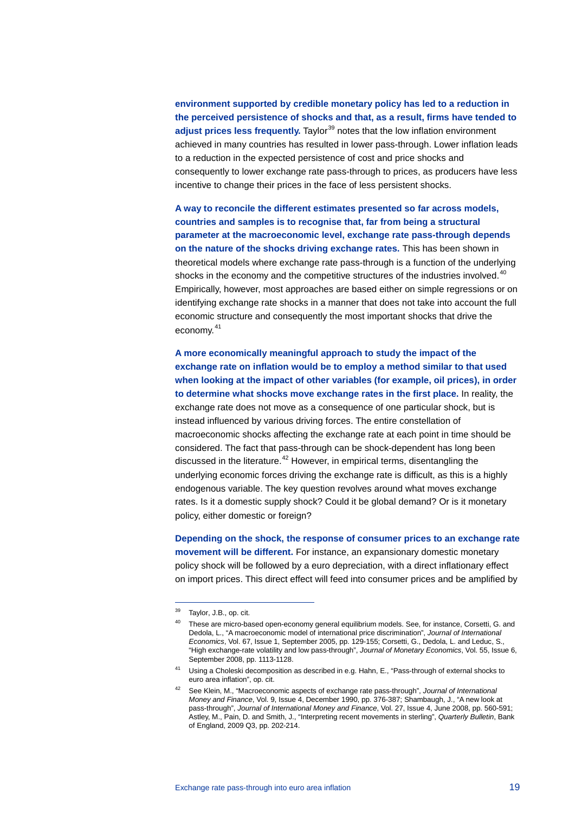**environment supported by credible monetary policy has led to a reduction in the perceived persistence of shocks and that, as a result, firms have tended to**  adjust prices less frequently. Taylor<sup>[39](#page-18-0)</sup> notes that the low inflation environment achieved in many countries has resulted in lower pass-through. Lower inflation leads to a reduction in the expected persistence of cost and price shocks and consequently to lower exchange rate pass-through to prices, as producers have less incentive to change their prices in the face of less persistent shocks.

**A way to reconcile the different estimates presented so far across models, countries and samples is to recognise that, far from being a structural parameter at the macroeconomic level, exchange rate pass-through depends on the nature of the shocks driving exchange rates.** This has been shown in theoretical models where exchange rate pass-through is a function of the underlying shocks in the economy and the competitive structures of the industries involved.<sup>[40](#page-18-1)</sup> Empirically, however, most approaches are based either on simple regressions or on identifying exchange rate shocks in a manner that does not take into account the full economic structure and consequently the most important shocks that drive the economy.<sup>[41](#page-18-2)</sup>

**A more economically meaningful approach to study the impact of the exchange rate on inflation would be to employ a method similar to that used when looking at the impact of other variables (for example, oil prices), in order to determine what shocks move exchange rates in the first place.** In reality, the exchange rate does not move as a consequence of one particular shock, but is instead influenced by various driving forces. The entire constellation of macroeconomic shocks affecting the exchange rate at each point in time should be considered. The fact that pass-through can be shock-dependent has long been discussed in the literature.<sup>[42](#page-18-3)</sup> However, in empirical terms, disentangling the underlying economic forces driving the exchange rate is difficult, as this is a highly endogenous variable. The key question revolves around what moves exchange rates. Is it a domestic supply shock? Could it be global demand? Or is it monetary policy, either domestic or foreign?

**Depending on the shock, the response of consumer prices to an exchange rate movement will be different.** For instance, an expansionary domestic monetary policy shock will be followed by a euro depreciation, with a direct inflationary effect on import prices. This direct effect will feed into consumer prices and be amplified by

<span id="page-18-0"></span><sup>&</sup>lt;sup>39</sup> Taylor, J.B., op. cit.

<span id="page-18-1"></span><sup>40</sup> These are micro-based open-economy general equilibrium models. See, for instance, Corsetti, G. and Dedola, L., "A macroeconomic model of international price discrimination", *Journal of International Economics*, Vol. 67, Issue 1, September 2005, pp. 129-155; Corsetti, G., Dedola, L. and Leduc, S., "High exchange-rate volatility and low pass-through", *Journal of Monetary Economics*, Vol. 55, Issue 6, September 2008, pp. 1113-1128.

<span id="page-18-2"></span><sup>41</sup> Using a Choleski decomposition as described in e.g. Hahn, E., "Pass-through of external shocks to euro area inflation", op. cit.

<span id="page-18-3"></span><sup>42</sup> See Klein, M., "Macroeconomic aspects of exchange rate pass-through", *Journal of International Money and Finance*, Vol. 9, Issue 4, December 1990, pp. 376-387; Shambaugh, J., "A new look at pass-through", *Journal of International Money and Finance*, Vol. 27, Issue 4, June 2008, pp. 560-591; Astley, M., Pain, D. and Smith, J., "Interpreting recent movements in sterling", *Quarterly Bulletin*, Bank of England, 2009 Q3, pp. 202-214.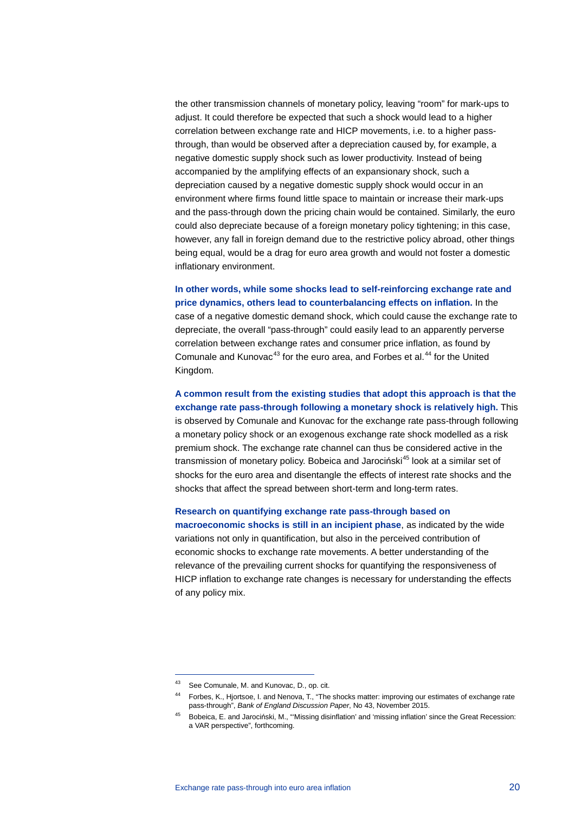the other transmission channels of monetary policy, leaving "room" for mark-ups to adjust. It could therefore be expected that such a shock would lead to a higher correlation between exchange rate and HICP movements, i.e. to a higher passthrough, than would be observed after a depreciation caused by, for example, a negative domestic supply shock such as lower productivity. Instead of being accompanied by the amplifying effects of an expansionary shock, such a depreciation caused by a negative domestic supply shock would occur in an environment where firms found little space to maintain or increase their mark-ups and the pass-through down the pricing chain would be contained. Similarly, the euro could also depreciate because of a foreign monetary policy tightening; in this case, however, any fall in foreign demand due to the restrictive policy abroad, other things being equal, would be a drag for euro area growth and would not foster a domestic inflationary environment.

**In other words, while some shocks lead to self-reinforcing exchange rate and price dynamics, others lead to counterbalancing effects on inflation.** In the case of a negative domestic demand shock, which could cause the exchange rate to depreciate, the overall "pass-through" could easily lead to an apparently perverse correlation between exchange rates and consumer price inflation, as found by Comunale and Kunovac<sup>[43](#page-19-0)</sup> for the euro area, and Forbes et al.<sup>[44](#page-19-1)</sup> for the United Kingdom.

**A common result from the existing studies that adopt this approach is that the exchange rate pass-through following a monetary shock is relatively high.** This is observed by Comunale and Kunovac for the exchange rate pass-through following a monetary policy shock or an exogenous exchange rate shock modelled as a risk premium shock. The exchange rate channel can thus be considered active in the transmission of monetary policy. Bobeica and Jarociński<sup>[45](#page-19-2)</sup> look at a similar set of shocks for the euro area and disentangle the effects of interest rate shocks and the shocks that affect the spread between short-term and long-term rates.

**Research on quantifying exchange rate pass-through based on macroeconomic shocks is still in an incipient phase**, as indicated by the wide variations not only in quantification, but also in the perceived contribution of economic shocks to exchange rate movements. A better understanding of the relevance of the prevailing current shocks for quantifying the responsiveness of HICP inflation to exchange rate changes is necessary for understanding the effects of any policy mix.

<span id="page-19-0"></span><sup>43</sup> See Comunale, M. and Kunovac, D., op. cit.

<span id="page-19-1"></span><sup>44</sup> Forbes, K., Hjortsoe, I. and Nenova, T., "The shocks matter: improving our estimates of exchange rate pass-through", *Bank of England Discussion Paper*, No 43, November 2015.

<span id="page-19-2"></span><sup>45</sup> Bobeica, E. and Jarociński, M., "'Missing disinflation' and 'missing inflation' since the Great Recession: a VAR perspective", forthcoming.